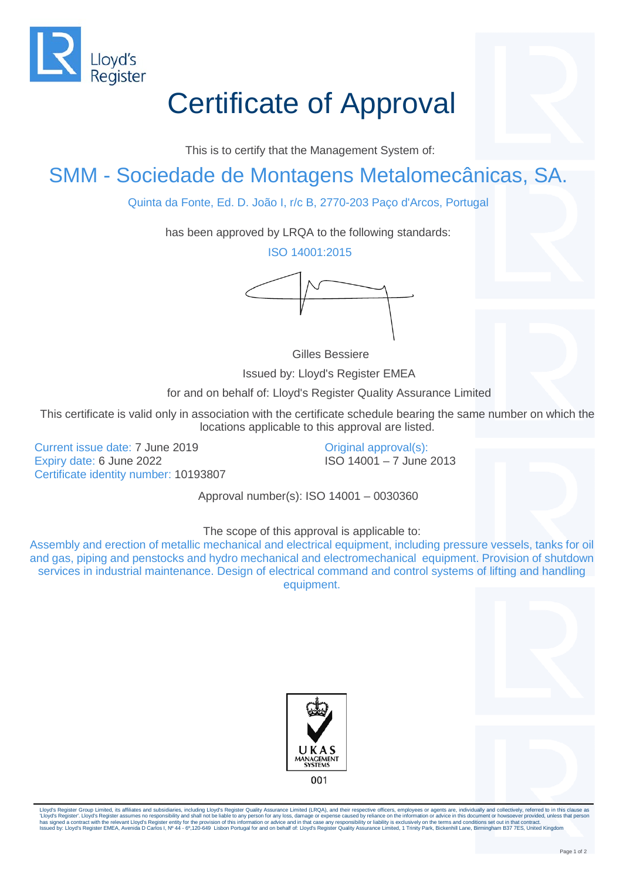

## Certificate of Approval

This is to certify that the Management System of:

## SMM - Sociedade de Montagens Metalomecânicas, SA.

Quinta da Fonte, Ed. D. João I, r/c B, 2770-203 Paço d'Arcos, Portugal

has been approved by LRQA to the following standards:

ISO 14001:2015



Gilles Bessiere

Issued by: Lloyd's Register EMEA

for and on behalf of: Lloyd's Register Quality Assurance Limited

This certificate is valid only in association with the certificate schedule bearing the same number on which the locations applicable to this approval are listed.

Current issue date: 7 June 2019 Expiry date: 6 June 2022 Certificate identity number: 10193807 Original approval(s): ISO 14001 – 7 June 2013

Approval number(s): ISO 14001 – 0030360

## The scope of this approval is applicable to:

Assembly and erection of metallic mechanical and electrical equipment, including pressure vessels, tanks for oil and gas, piping and penstocks and hydro mechanical and electromechanical equipment. Provision of shutdown services in industrial maintenance. Design of electrical command and control systems of lifting and handling equipment.





Lloyd's Register Group Limited, its affiliates and subsidiaries, including Lloyd's Register Quality Assurance Limited (LRQA), and their respective officers, employees or agents are, individually and collectively, referred